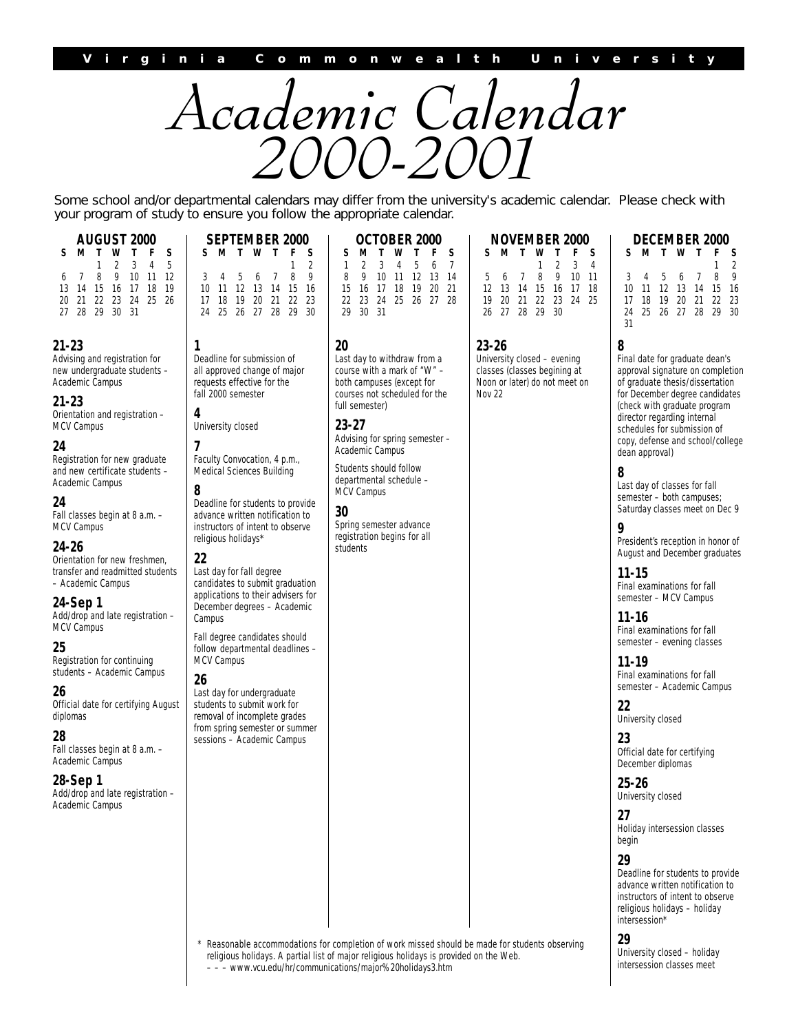

Some school and/or departmental calendars may differ from the university's academic calendar. Please check with your program of study to ensure you follow the appropriate calendar.

| <b>AUGUST 2000</b><br>Τ<br>s<br>S<br>w<br>2<br>3<br>5<br>4<br>8<br>9<br>10<br>-11<br>-12<br>6<br>19<br>13<br>14<br>15<br>16<br>17<br>18                                                                                                                                                                                                                                                                                                                                                                                                                                                                                                                                                                                                     | SEPTEMBER 2000<br>S<br>S.<br>Τ<br>W<br>2<br>8<br>9<br>3<br>5<br>7<br>4<br>6<br>12<br>15<br>16<br>10<br>-11<br>13<br>14                                                                                                                                                                                                                                                                                                                                                                                                                                                                                                                                                                                                                                          | OCTOBER 2000<br>S<br>S<br>w<br>Τ<br>5<br>7<br>3<br>6<br>4<br>8<br>9<br>10<br>-11<br>12<br>-13<br>14<br>19<br>20<br>21<br>15<br>16<br>17<br>18                                                                                                                                                                                                                     | NOVEMBER 2000<br>F<br>S<br>S.<br>M<br>3<br>2<br>4<br>8<br>10 <sup>°</sup><br>9<br>- 11<br>5<br>6<br>7<br>12<br>13<br>14<br>15<br>16<br>17<br>-18 | <b>DECEMBER 2000</b><br>S<br>S.<br>w<br>8<br>9<br>3<br>5<br>7<br>6<br>12<br>15<br>10<br>11<br>13<br>14<br>-16                                                                                                                                                                                                                                                                                                                                                                                                                                                                                                                                                                                                                                                                                                                                                                                                                                                                                                                                               |
|---------------------------------------------------------------------------------------------------------------------------------------------------------------------------------------------------------------------------------------------------------------------------------------------------------------------------------------------------------------------------------------------------------------------------------------------------------------------------------------------------------------------------------------------------------------------------------------------------------------------------------------------------------------------------------------------------------------------------------------------|-----------------------------------------------------------------------------------------------------------------------------------------------------------------------------------------------------------------------------------------------------------------------------------------------------------------------------------------------------------------------------------------------------------------------------------------------------------------------------------------------------------------------------------------------------------------------------------------------------------------------------------------------------------------------------------------------------------------------------------------------------------------|-------------------------------------------------------------------------------------------------------------------------------------------------------------------------------------------------------------------------------------------------------------------------------------------------------------------------------------------------------------------|--------------------------------------------------------------------------------------------------------------------------------------------------|-------------------------------------------------------------------------------------------------------------------------------------------------------------------------------------------------------------------------------------------------------------------------------------------------------------------------------------------------------------------------------------------------------------------------------------------------------------------------------------------------------------------------------------------------------------------------------------------------------------------------------------------------------------------------------------------------------------------------------------------------------------------------------------------------------------------------------------------------------------------------------------------------------------------------------------------------------------------------------------------------------------------------------------------------------------|
| 22<br>23<br>24<br>25<br>21<br>-26<br>20<br>29<br>30 31<br>27<br>28                                                                                                                                                                                                                                                                                                                                                                                                                                                                                                                                                                                                                                                                          | 19<br>21<br>22<br>23<br>17<br>18<br>20<br>28<br>29<br>30<br>24<br>-25<br>26<br>27                                                                                                                                                                                                                                                                                                                                                                                                                                                                                                                                                                                                                                                                               | 23<br>24<br>25<br>27<br>-28<br>22<br>26<br>29<br>30<br>-31                                                                                                                                                                                                                                                                                                        | 20<br>21<br>22<br>23<br>24<br>-25<br>19<br>26 27<br>28<br>29<br>30                                                                               | 20<br>21<br>22 23<br>17<br>18<br>19<br>25 26 27<br>28<br>29<br>- 30<br>24<br>31                                                                                                                                                                                                                                                                                                                                                                                                                                                                                                                                                                                                                                                                                                                                                                                                                                                                                                                                                                             |
| $21 - 23$<br>Advising and registration for<br>new undergraduate students -<br>Academic Campus<br>$21 - 23$<br>Orientation and registration -<br>MCV Campus<br>24<br>Registration for new graduate<br>and new certificate students -<br>Academic Campus<br>24<br>Fall classes begin at 8 a.m. -<br>MCV Campus<br>$24 - 26$<br>Orientation for new freshmen,<br>transfer and readmitted students<br>- Academic Campus<br>24-Sep 1<br>Add/drop and late registration -<br>MCV Campus<br>25<br>Registration for continuing<br>students - Academic Campus<br>26<br>Official date for certifying August<br>diplomas<br>28<br>Fall classes begin at 8 a.m. -<br>Academic Campus<br>28-Sep 1<br>Add/drop and late registration -<br>Academic Campus | 1<br>Deadline for submission of<br>all approved change of major<br>requests effective for the<br>fall 2000 semester<br>4<br>University closed<br>7<br>Faculty Convocation, 4 p.m.,<br>Medical Sciences Building<br>8<br>Deadline for students to provide<br>advance written notification to<br>instructors of intent to observe<br>religious holidays*<br>22<br>Last day for fall degree<br>candidates to submit graduation<br>applications to their advisers for<br>December degrees - Academic<br>Campus<br>Fall degree candidates should<br>follow departmental deadlines -<br>MCV Campus<br>26<br>Last day for undergraduate<br>students to submit work for<br>removal of incomplete grades<br>from spring semester or summer<br>sessions - Academic Campus | 20<br>Last day to withdraw from a<br>course with a mark of "W" -<br>both campuses (except for<br>courses not scheduled for the<br>full semester)<br>$23 - 27$<br>Advising for spring semester -<br>Academic Campus<br>Students should follow<br>departmental schedule -<br>MCV Campus<br>30<br>Spring semester advance<br>registration begins for all<br>students | $23 - 26$<br>University closed - evening<br>classes (classes begining at<br>Noon or later) do not meet on<br>Nov 22                              | 8<br>Final date for graduate dean's<br>approval signature on completion<br>of graduate thesis/dissertation<br>for December degree candidates<br>(check with graduate program<br>director regarding internal<br>schedules for submission of<br>copy, defense and school/college<br>dean approval)<br>8<br>Last day of classes for fall<br>semester - both campuses;<br>Saturday classes meet on Dec 9<br>9<br>President's reception in honor of<br>August and December graduates<br>$11 - 15$<br>Final examinations for fall<br>semester - MCV Campus<br>$11 - 16$<br>Final examinations for fall<br>semester – evening classes<br>$11 - 19$<br>Final examinations for fall<br>semester – Academic Campus<br>22<br>University closed<br>23<br>Official date for certifying<br>December diplomas<br>$25 - 26$<br>University closed<br>27<br>Holiday intersession classes<br>begin<br>29<br>Deadline for students to provide<br>advance written notification to<br>instructors of intent to observe<br>religious holidays - holiday<br>intersession*<br>$\sim$ |

Reasonable accommodations for completion of work missed should be made for students observing religious holidays. A partial list of major religious holidays is provided on the Web. – – – www.vcu.edu/hr/communications/major%20holidays3.htm

**29** University closed – holiday intersession classes meet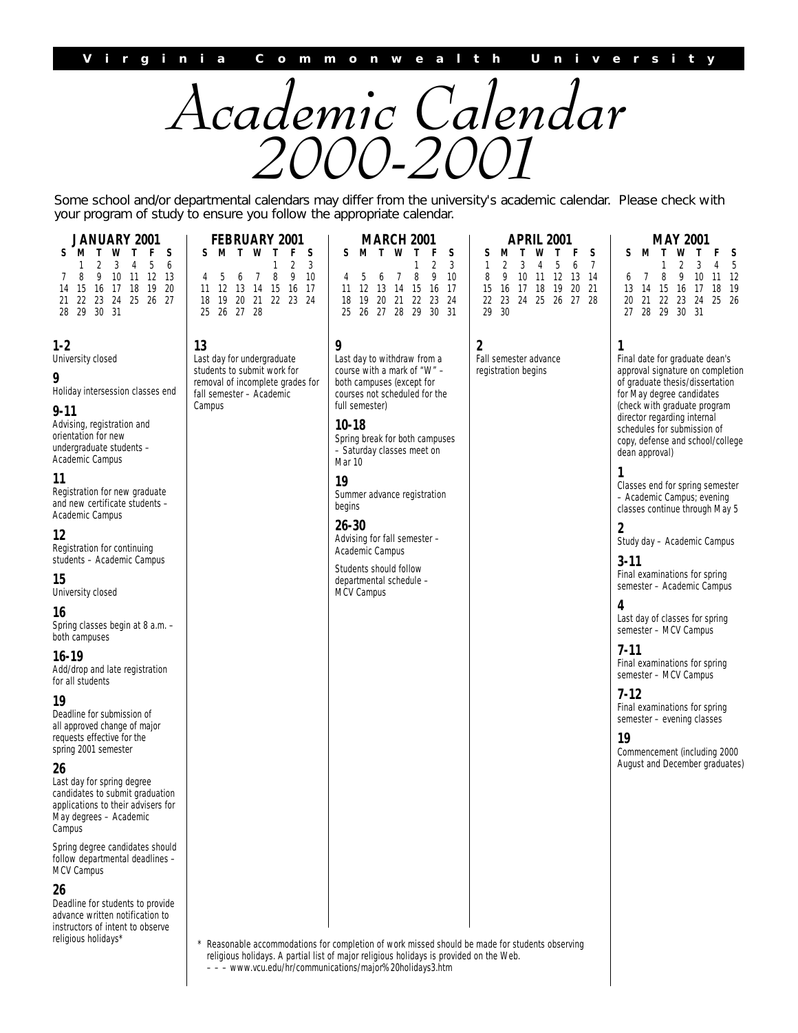

Some school and/or departmental calendars may differ from the university's academic calendar. Please check with your program of study to ensure you follow the appropriate calendar.

| JANUARY 2001<br><b>FEBRUARY 2001</b>                                                                                                                                                                                                                                                                                                                                                                                                                                                                                                                                                                                                                            |                                                                                                                                                                            | <b>MARCH 2001</b>                                                                                                                                                                                                                                                                                                                                                                                                               | <b>APRIL 2001</b>                                                                                                                                                                      | MAY 2001                                                                                                                                                                                                                                                                                                                                                                                                                                                                                                                                                                                                                                                                                                                                                                                                  |  |
|-----------------------------------------------------------------------------------------------------------------------------------------------------------------------------------------------------------------------------------------------------------------------------------------------------------------------------------------------------------------------------------------------------------------------------------------------------------------------------------------------------------------------------------------------------------------------------------------------------------------------------------------------------------------|----------------------------------------------------------------------------------------------------------------------------------------------------------------------------|---------------------------------------------------------------------------------------------------------------------------------------------------------------------------------------------------------------------------------------------------------------------------------------------------------------------------------------------------------------------------------------------------------------------------------|----------------------------------------------------------------------------------------------------------------------------------------------------------------------------------------|-----------------------------------------------------------------------------------------------------------------------------------------------------------------------------------------------------------------------------------------------------------------------------------------------------------------------------------------------------------------------------------------------------------------------------------------------------------------------------------------------------------------------------------------------------------------------------------------------------------------------------------------------------------------------------------------------------------------------------------------------------------------------------------------------------------|--|
| S<br>w<br>F<br>S<br>T<br>5<br>3<br>6<br>4<br>8<br>9<br>10 11<br>12<br>13<br>15<br>17 18<br>-19<br>20<br>16<br>14<br>23 24 25 26 27<br>22<br>28 29 30 31                                                                                                                                                                                                                                                                                                                                                                                                                                                                                                         | F<br>S<br>т<br>w<br>S<br>M<br>3<br>2<br>8<br>9<br>10<br>5<br>6<br>7<br>4<br>12<br>13<br>14<br>15<br>16<br>- 17<br>11<br>20<br>21<br>22 23 24<br>18<br>19<br>26 27 28<br>25 | S<br>W<br>T<br>F<br>S<br>M<br>T<br>2<br>3<br>8<br>9<br>10<br>4<br>b<br>6<br>7<br>12<br>13 14<br>- 15<br>16<br>17<br>11<br>20 21 22<br>23<br>18<br>19<br>24<br>25<br>26 27 28 29<br>30 31                                                                                                                                                                                                                                        | s<br>s<br>T<br>F<br>M<br>w<br>7<br>1<br>5<br>6<br>3<br>4<br>8<br>9<br>10<br>12<br>13<br>-14<br>-11<br>21<br>15<br>16<br>17<br>18<br>19<br>20<br>22<br>23<br>24 25 26 27 28<br>29<br>30 | S<br>M<br>S<br>2<br>3<br>5<br>8<br>9<br>10<br>-11<br>12<br>7<br>6<br>13<br>14<br>15<br>17<br>18<br>19<br>-16<br>22 23 24<br>25<br>20<br>21<br>-26<br>28 29 30 31<br>27                                                                                                                                                                                                                                                                                                                                                                                                                                                                                                                                                                                                                                    |  |
| 1-2<br>University closed<br>9<br>Holiday intersession classes end<br>9-11<br>Advising, registration and<br>orientation for new<br>undergraduate students -<br>Academic Campus<br>11<br>Registration for new graduate<br>and new certificate students -<br>Academic Campus<br>12<br>Registration for continuing<br>students - Academic Campus<br>15<br>University closed<br>16<br>Spring classes begin at 8 a.m. -<br>both campuses<br>16-19<br>Add/drop and late registration<br>for all students<br>19<br>Deadline for submission of<br>all approved change of major<br>requests effective for the<br>spring 2001 semester<br>26<br>Last day for spring degree | 13<br>Last day for undergraduate<br>students to submit work for<br>removal of incomplete grades for<br>fall semester - Academic<br>Campus                                  | 9<br>Last day to withdraw from a<br>course with a mark of "W" -<br>both campuses (except for<br>courses not scheduled for the<br>full semester)<br>$10 - 18$<br>Spring break for both campuses<br>- Saturday classes meet on<br>Mar 10<br>19<br>Summer advance registration<br>begins<br>$26 - 30$<br>Advising for fall semester -<br>Academic Campus<br>Students should follow<br>departmental schedule -<br><b>MCV Campus</b> | $\mathbf{2}$<br>Fall semester advance<br>registration begins                                                                                                                           | 1<br>Final date for graduate dean's<br>approval signature on completion<br>of graduate thesis/dissertation<br>for May degree candidates<br>(check with graduate program<br>director regarding internal<br>schedules for submission of<br>copy, defense and school/college<br>dean approval)<br>1<br>Classes end for spring semester<br>- Academic Campus; evening<br>classes continue through May 5<br>2<br>Study day - Academic Campus<br>$3 - 11$<br>Final examinations for spring<br>semester - Academic Campus<br>4<br>Last day of classes for spring<br>semester - MCV Campus<br>$7-11$<br>Final examinations for spring<br>semester - MCV Campus<br>$7 - 12$<br>Final examinations for spring<br>semester – evening classes<br>19<br>Commencement (including 2000<br>August and December graduates) |  |
| candidates to submit graduation<br>applications to their advisers for<br>May degrees - Academic<br>Campus                                                                                                                                                                                                                                                                                                                                                                                                                                                                                                                                                       |                                                                                                                                                                            |                                                                                                                                                                                                                                                                                                                                                                                                                                 |                                                                                                                                                                                        |                                                                                                                                                                                                                                                                                                                                                                                                                                                                                                                                                                                                                                                                                                                                                                                                           |  |
| Spring degree candidates should<br>follow departmental deadlines -<br>MCV Campus                                                                                                                                                                                                                                                                                                                                                                                                                                                                                                                                                                                |                                                                                                                                                                            |                                                                                                                                                                                                                                                                                                                                                                                                                                 |                                                                                                                                                                                        |                                                                                                                                                                                                                                                                                                                                                                                                                                                                                                                                                                                                                                                                                                                                                                                                           |  |
| 26<br>Deadline for students to provide<br>advance written notification to<br>instructors of intent to observe<br>religious holidays*                                                                                                                                                                                                                                                                                                                                                                                                                                                                                                                            |                                                                                                                                                                            | * Reasonable accommodations for completion of work missed should be made for students observing                                                                                                                                                                                                                                                                                                                                 |                                                                                                                                                                                        |                                                                                                                                                                                                                                                                                                                                                                                                                                                                                                                                                                                                                                                                                                                                                                                                           |  |

religious holidays. A partial list of major religious holidays is provided on the Web. – – – www.vcu.edu/hr/communications/major%20holidays3.htm